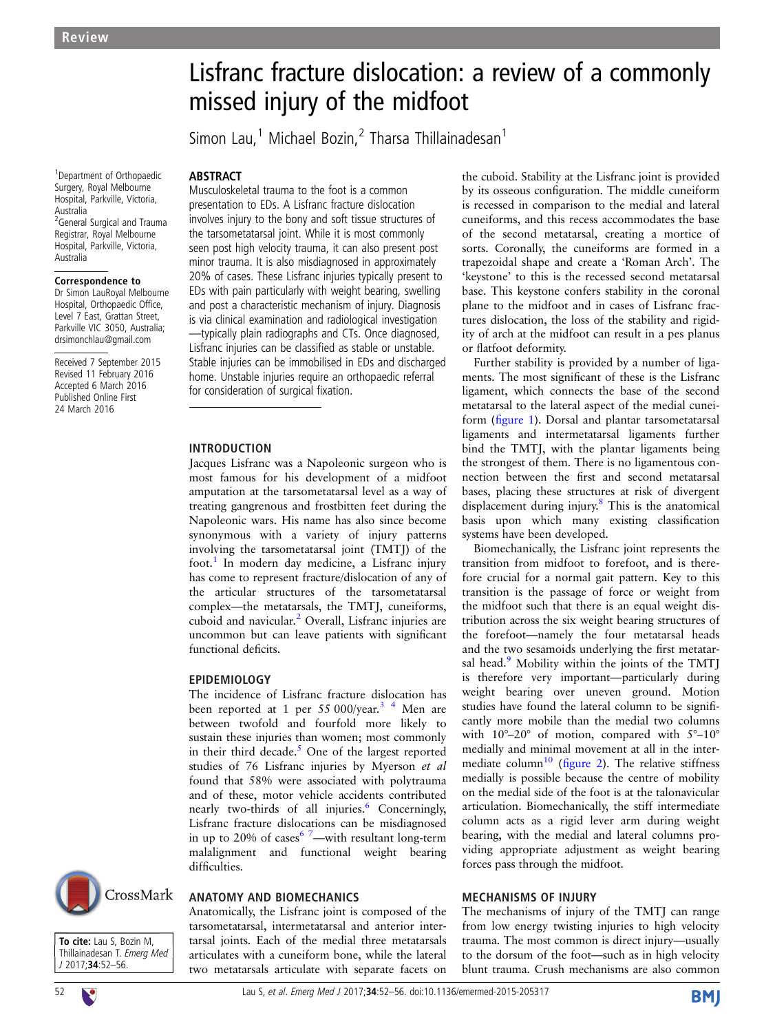1 Department of Orthopaedic Surgery, Royal Melbourne Hospital, Parkville, Victoria, Australia <sup>2</sup> General Surgical and Trauma Registrar, Royal Melbourne Hospital, Parkville, Victoria, Australia

#### Correspondence to

Dr Simon LauRoyal Melbourne Hospital, Orthopaedic Office, Level 7 East, Grattan Street, Parkville VIC 3050, Australia; drsimonchlau@gmail.com

Received 7 September 2015 Revised 11 February 2016 Accepted 6 March 2016 Published Online First 24 March 2016

# Lisfranc fracture dislocation: a review of a commonly missed injury of the midfoot

Simon Lau,<sup>1</sup> Michael Bozin,<sup>2</sup> Tharsa Thillainadesan<sup>1</sup>

## ABSTRACT

Musculoskeletal trauma to the foot is a common presentation to EDs. A Lisfranc fracture dislocation involves injury to the bony and soft tissue structures of the tarsometatarsal joint. While it is most commonly seen post high velocity trauma, it can also present post minor trauma. It is also misdiagnosed in approximately 20% of cases. These Lisfranc injuries typically present to EDs with pain particularly with weight bearing, swelling and post a characteristic mechanism of injury. Diagnosis is via clinical examination and radiological investigation —typically plain radiographs and CTs. Once diagnosed, Lisfranc injuries can be classified as stable or unstable. Stable injuries can be immobilised in EDs and discharged home. Unstable injuries require an orthopaedic referral for consideration of surgical fixation.

#### INTRODUCTION

Jacques Lisfranc was a Napoleonic surgeon who is most famous for his development of a midfoot amputation at the tarsometatarsal level as a way of treating gangrenous and frostbitten feet during the Napoleonic wars. His name has also since become synonymous with a variety of injury patterns involving the tarsometatarsal joint (TMTJ) of the foot.[1](#page-4-0) In modern day medicine, a Lisfranc injury has come to represent fracture/dislocation of any of the articular structures of the tarsometatarsal complex—the metatarsals, the TMTJ, cuneiforms, cuboid and navicular.<sup>[2](#page-4-0)</sup> Overall, Lisfranc injuries are uncommon but can leave patients with significant functional deficits.

#### EPIDEMIOLOGY

The incidence of Lisfranc fracture dislocation has been reported at 1 per 55 000/year.<sup>3</sup> <sup>4</sup> Men are between twofold and fourfold more likely to sustain these injuries than women; most commonly in their third decade.<sup>5</sup> One of the largest reported studies of 76 Lisfranc injuries by Myerson et al found that 58% were associated with polytrauma and of these, motor vehicle accidents contributed nearly two-thirds of all injuries.<sup>[6](#page-4-0)</sup> Concerningly, Lisfranc fracture dislocations can be misdiagnosed in up to 20% of cases  $7$ —with resultant long-term malalignment and functional weight bearing difficulties.



To cite: Lau S, Bozin M, Thillainadesan T. Emerg Med

## ANATOMY AND BIOMECHANICS

Anatomically, the Lisfranc joint is composed of the tarsometatarsal, intermetatarsal and anterior intertarsal joints. Each of the medial three metatarsals articulates with a cuneiform bone, while the lateral two metatarsals articulate with separate facets on the cuboid. Stability at the Lisfranc joint is provided by its osseous configuration. The middle cuneiform is recessed in comparison to the medial and lateral cuneiforms, and this recess accommodates the base of the second metatarsal, creating a mortice of sorts. Coronally, the cuneiforms are formed in a trapezoidal shape and create a 'Roman Arch'. The 'keystone' to this is the recessed second metatarsal base. This keystone confers stability in the coronal plane to the midfoot and in cases of Lisfranc fractures dislocation, the loss of the stability and rigidity of arch at the midfoot can result in a pes planus or flatfoot deformity.

Further stability is provided by a number of ligaments. The most significant of these is the Lisfranc ligament, which connects the base of the second metatarsal to the lateral aspect of the medial cuneiform (fi[gure 1\)](#page-1-0). Dorsal and plantar tarsometatarsal ligaments and intermetatarsal ligaments further bind the TMTJ, with the plantar ligaments being the strongest of them. There is no ligamentous connection between the first and second metatarsal bases, placing these structures at risk of divergent displacement during injury.<sup>[8](#page-4-0)</sup> This is the anatomical basis upon which many existing classification systems have been developed.

Biomechanically, the Lisfranc joint represents the transition from midfoot to forefoot, and is therefore crucial for a normal gait pattern. Key to this transition is the passage of force or weight from the midfoot such that there is an equal weight distribution across the six weight bearing structures of the forefoot—namely the four metatarsal heads and the two sesamoids underlying the first metatarsal head.<sup>9</sup> Mobility within the joints of the TMTJ is therefore very important—particularly during weight bearing over uneven ground. Motion studies have found the lateral column to be significantly more mobile than the medial two columns with  $10^{\circ}-20^{\circ}$  of motion, compared with  $5^{\circ}-10^{\circ}$ medially and minimal movement at all in the inter-mediate column<sup>[10](#page-4-0)</sup> (fi[gure 2](#page-1-0)). The relative stiffness medially is possible because the centre of mobility on the medial side of the foot is at the talonavicular articulation. Biomechanically, the stiff intermediate column acts as a rigid lever arm during weight bearing, with the medial and lateral columns providing appropriate adjustment as weight bearing forces pass through the midfoot.

#### MECHANISMS OF INJURY

The mechanisms of injury of the TMTJ can range from low energy twisting injuries to high velocity trauma. The most common is direct injury—usually to the dorsum of the foot—such as in high velocity blunt trauma. Crush mechanisms are also common

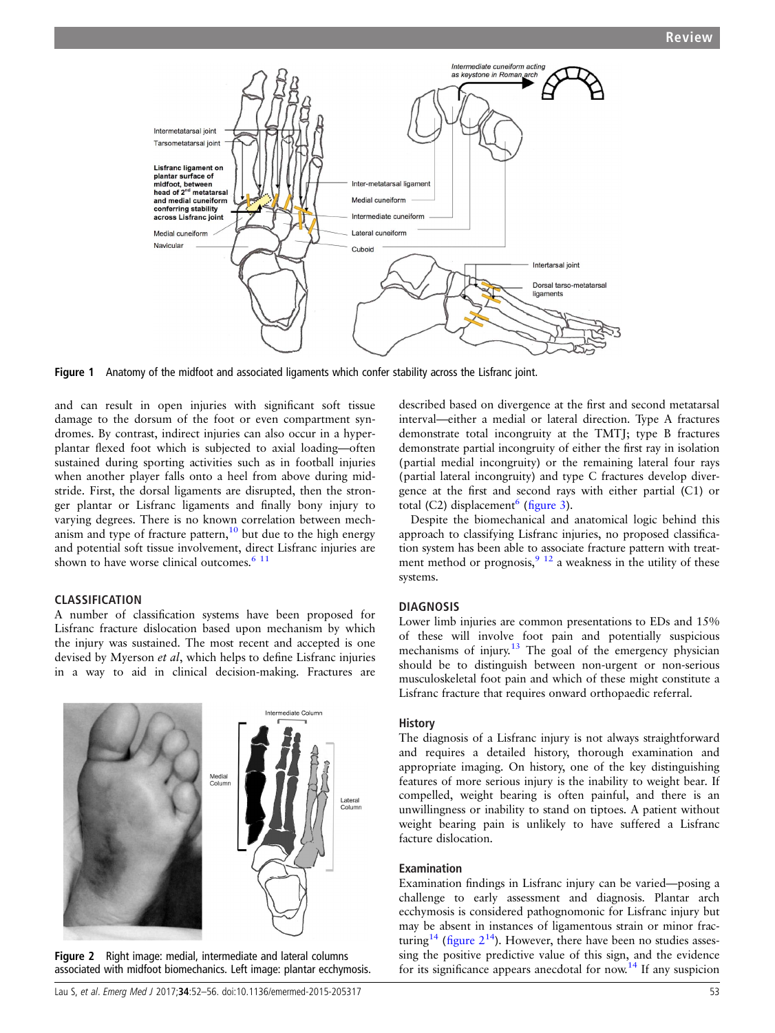<span id="page-1-0"></span>

Figure 1 Anatomy of the midfoot and associated ligaments which confer stability across the Lisfranc joint.

and can result in open injuries with significant soft tissue damage to the dorsum of the foot or even compartment syndromes. By contrast, indirect injuries can also occur in a hyperplantar flexed foot which is subjected to axial loading—often sustained during sporting activities such as in football injuries when another player falls onto a heel from above during midstride. First, the dorsal ligaments are disrupted, then the stronger plantar or Lisfranc ligaments and finally bony injury to varying degrees. There is no known correlation between mechanism and type of fracture pattern, $10$  but due to the high energy and potential soft tissue involvement, direct Lisfranc injuries are shown to have worse clinical outcomes.<sup>6 11</sup>

# CLASSIFICATION

A number of classification systems have been proposed for Lisfranc fracture dislocation based upon mechanism by which the injury was sustained. The most recent and accepted is one devised by Myerson et al, which helps to define Lisfranc injuries in a way to aid in clinical decision-making. Fractures are



Figure 2 Right image: medial, intermediate and lateral columns associated with midfoot biomechanics. Left image: plantar ecchymosis.

described based on divergence at the first and second metatarsal interval—either a medial or lateral direction. Type A fractures demonstrate total incongruity at the TMTJ; type B fractures demonstrate partial incongruity of either the first ray in isolation (partial medial incongruity) or the remaining lateral four rays (partial lateral incongruity) and type C fractures develop divergence at the first and second rays with either partial (C1) or total (C2) displacement<sup>6</sup> (fi[gure 3](#page-2-0)).

Despite the biomechanical and anatomical logic behind this approach to classifying Lisfranc injuries, no proposed classification system has been able to associate fracture pattern with treatment method or prognosis,  $9^{12}$  a weakness in the utility of these systems.

# DIAGNOSIS

Lower limb injuries are common presentations to EDs and 15% of these will involve foot pain and potentially suspicious mechanisms of injury.[13](#page-4-0) The goal of the emergency physician should be to distinguish between non-urgent or non-serious musculoskeletal foot pain and which of these might constitute a Lisfranc fracture that requires onward orthopaedic referral.

# **History**

The diagnosis of a Lisfranc injury is not always straightforward and requires a detailed history, thorough examination and appropriate imaging. On history, one of the key distinguishing features of more serious injury is the inability to weight bear. If compelled, weight bearing is often painful, and there is an unwillingness or inability to stand on tiptoes. A patient without weight bearing pain is unlikely to have suffered a Lisfranc facture dislocation.

# Examination

Examination findings in Lisfranc injury can be varied—posing a challenge to early assessment and diagnosis. Plantar arch ecchymosis is considered pathognomonic for Lisfranc injury but may be absent in instances of ligamentous strain or minor frac-turing<sup>[14](#page-4-0)</sup> (figure  $2^{14}$ ). However, there have been no studies assessing the positive predictive value of this sign, and the evidence for its significance appears anecdotal for now.[14](#page-4-0) If any suspicion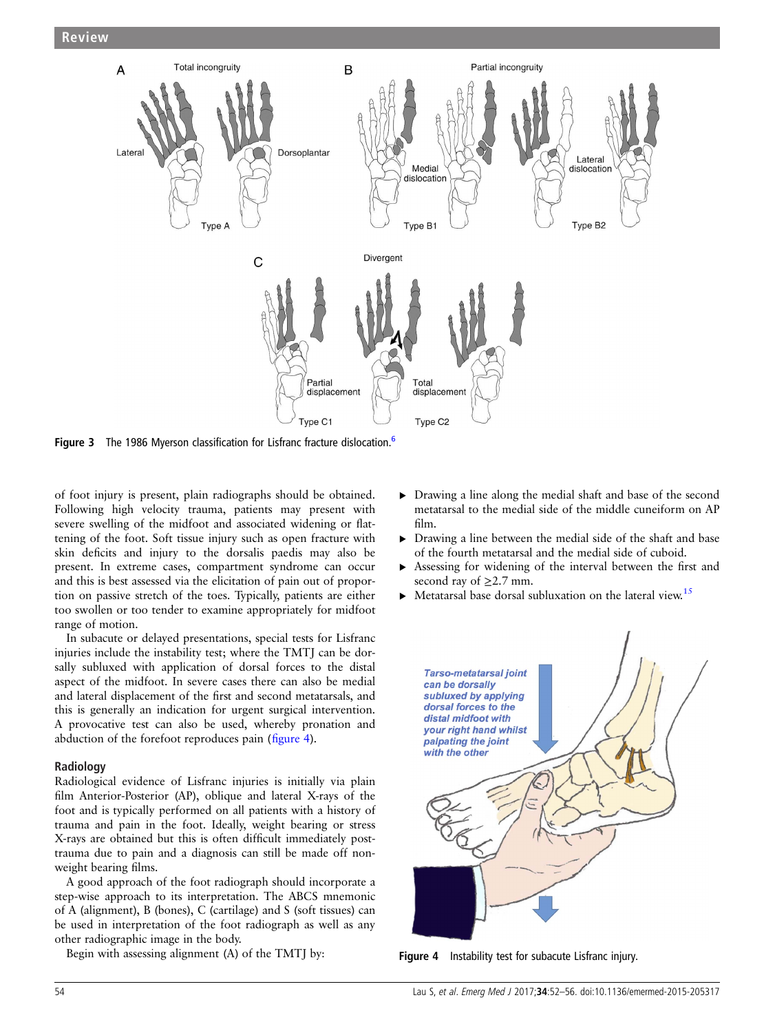<span id="page-2-0"></span>

**Figure 3** The 198[6](#page-4-0) Myerson classification for Lisfranc fracture dislocation.<sup>6</sup>

of foot injury is present, plain radiographs should be obtained. Following high velocity trauma, patients may present with severe swelling of the midfoot and associated widening or flattening of the foot. Soft tissue injury such as open fracture with skin deficits and injury to the dorsalis paedis may also be present. In extreme cases, compartment syndrome can occur and this is best assessed via the elicitation of pain out of proportion on passive stretch of the toes. Typically, patients are either too swollen or too tender to examine appropriately for midfoot range of motion.

In subacute or delayed presentations, special tests for Lisfranc injuries include the instability test; where the TMTJ can be dorsally subluxed with application of dorsal forces to the distal aspect of the midfoot. In severe cases there can also be medial and lateral displacement of the first and second metatarsals, and this is generally an indication for urgent surgical intervention. A provocative test can also be used, whereby pronation and abduction of the forefoot reproduces pain (figure 4).

## Radiology

Radiological evidence of Lisfranc injuries is initially via plain film Anterior-Posterior (AP), oblique and lateral X-rays of the foot and is typically performed on all patients with a history of trauma and pain in the foot. Ideally, weight bearing or stress X-rays are obtained but this is often difficult immediately posttrauma due to pain and a diagnosis can still be made off nonweight bearing films.

A good approach of the foot radiograph should incorporate a step-wise approach to its interpretation. The ABCS mnemonic of A (alignment), B (bones), C (cartilage) and S (soft tissues) can be used in interpretation of the foot radiograph as well as any other radiographic image in the body.

Begin with assessing alignment (A) of the TMTJ by:

- ▸ Drawing a line along the medial shaft and base of the second metatarsal to the medial side of the middle cuneiform on AP film.
- ▸ Drawing a line between the medial side of the shaft and base of the fourth metatarsal and the medial side of cuboid.
- Assessing for widening of the interval between the first and second ray of  $\geq$ 2.7 mm.
- $\blacktriangleright$  Metatarsal base dorsal subluxation on the lateral view.<sup>[15](#page-4-0)</sup>



Figure 4 Instability test for subacute Lisfranc injury.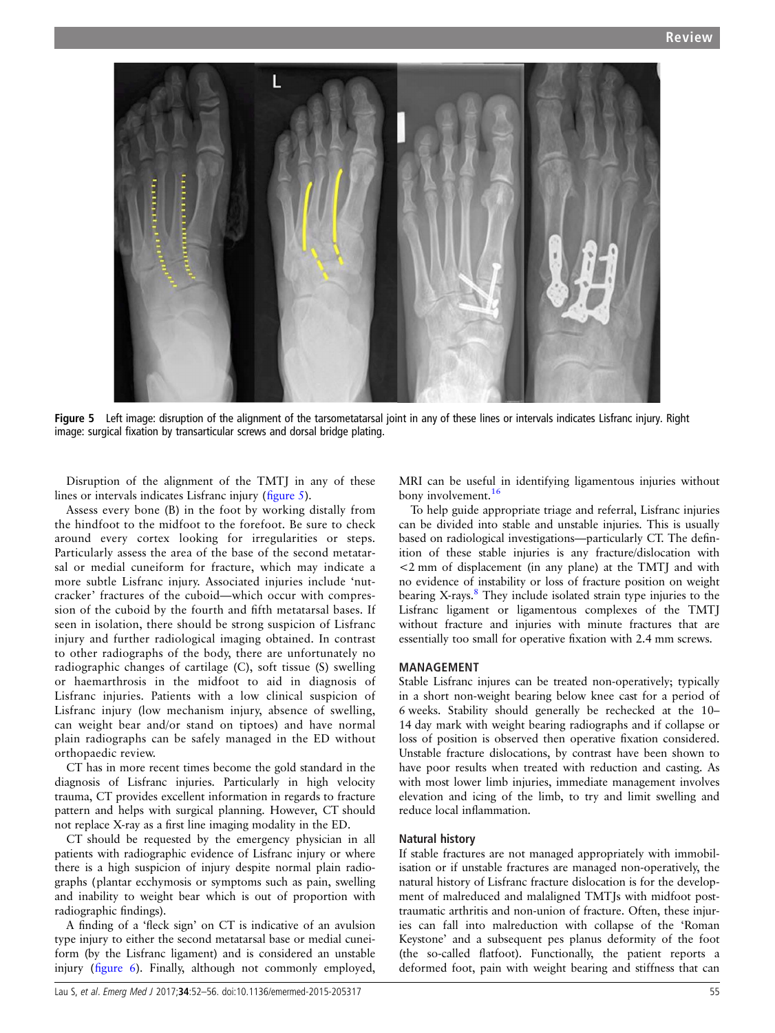<span id="page-3-0"></span>

Figure 5 Left image: disruption of the alignment of the tarsometatarsal joint in any of these lines or intervals indicates Lisfranc injury. Right image: surgical fixation by transarticular screws and dorsal bridge plating.

Disruption of the alignment of the TMTJ in any of these lines or intervals indicates Lisfranc injury (figure 5).

Assess every bone (B) in the foot by working distally from the hindfoot to the midfoot to the forefoot. Be sure to check around every cortex looking for irregularities or steps. Particularly assess the area of the base of the second metatarsal or medial cuneiform for fracture, which may indicate a more subtle Lisfranc injury. Associated injuries include 'nutcracker' fractures of the cuboid—which occur with compression of the cuboid by the fourth and fifth metatarsal bases. If seen in isolation, there should be strong suspicion of Lisfranc injury and further radiological imaging obtained. In contrast to other radiographs of the body, there are unfortunately no radiographic changes of cartilage (C), soft tissue (S) swelling or haemarthrosis in the midfoot to aid in diagnosis of Lisfranc injuries. Patients with a low clinical suspicion of Lisfranc injury (low mechanism injury, absence of swelling, can weight bear and/or stand on tiptoes) and have normal plain radiographs can be safely managed in the ED without orthopaedic review.

CT has in more recent times become the gold standard in the diagnosis of Lisfranc injuries. Particularly in high velocity trauma, CT provides excellent information in regards to fracture pattern and helps with surgical planning. However, CT should not replace X-ray as a first line imaging modality in the ED.

CT should be requested by the emergency physician in all patients with radiographic evidence of Lisfranc injury or where there is a high suspicion of injury despite normal plain radiographs (plantar ecchymosis or symptoms such as pain, swelling and inability to weight bear which is out of proportion with radiographic findings).

A finding of a 'fleck sign' on CT is indicative of an avulsion type injury to either the second metatarsal base or medial cuneiform (by the Lisfranc ligament) and is considered an unstable injury (fi[gure 6\)](#page-4-0). Finally, although not commonly employed,

MRI can be useful in identifying ligamentous injuries without bony involvement.<sup>[16](#page-4-0)</sup>

To help guide appropriate triage and referral, Lisfranc injuries can be divided into stable and unstable injuries. This is usually based on radiological investigations—particularly CT. The definition of these stable injuries is any fracture/dislocation with <2 mm of displacement (in any plane) at the TMTJ and with no evidence of instability or loss of fracture position on weight bearing X-rays.<sup>[8](#page-4-0)</sup> They include isolated strain type injuries to the Lisfranc ligament or ligamentous complexes of the TMTJ without fracture and injuries with minute fractures that are essentially too small for operative fixation with 2.4 mm screws.

# MANAGEMENT

Stable Lisfranc injures can be treated non-operatively; typically in a short non-weight bearing below knee cast for a period of 6 weeks. Stability should generally be rechecked at the 10– 14 day mark with weight bearing radiographs and if collapse or loss of position is observed then operative fixation considered. Unstable fracture dislocations, by contrast have been shown to have poor results when treated with reduction and casting. As with most lower limb injuries, immediate management involves elevation and icing of the limb, to try and limit swelling and reduce local inflammation.

## Natural history

If stable fractures are not managed appropriately with immobilisation or if unstable fractures are managed non-operatively, the natural history of Lisfranc fracture dislocation is for the development of malreduced and malaligned TMTJs with midfoot posttraumatic arthritis and non-union of fracture. Often, these injuries can fall into malreduction with collapse of the 'Roman Keystone' and a subsequent pes planus deformity of the foot (the so-called flatfoot). Functionally, the patient reports a deformed foot, pain with weight bearing and stiffness that can